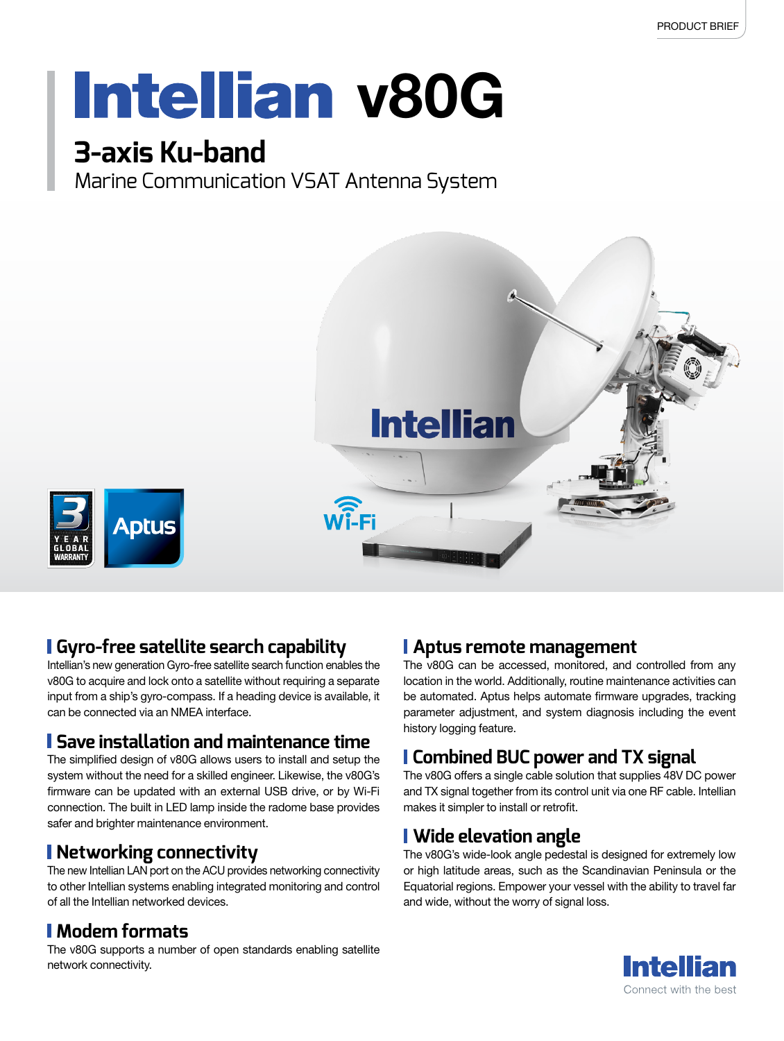# **Intellian v80G**

### **3-axis Ku-band**

Marine Communication VSAT Antenna System



#### **Gyro-free satellite search capability**

Intellian's new generation Gyro-free satellite search function enables the v80G to acquire and lock onto a satellite without requiring a separate input from a ship's gyro-compass. If a heading device is available, it can be connected via an NMEA interface.

#### **Save installation and maintenance time**

The simplified design of v80G allows users to install and setup the system without the need for a skilled engineer. Likewise, the v80G's firmware can be updated with an external USB drive, or by Wi-Fi connection. The built in LED lamp inside the radome base provides safer and brighter maintenance environment.

#### **Networking connectivity**

The new Intellian LAN port on the ACU provides networking connectivity to other Intellian systems enabling integrated monitoring and control of all the Intellian networked devices.

#### **Modem formats**

The v80G supports a number of open standards enabling satellite network connectivity.

#### **Aptus remote management**

The v80G can be accessed, monitored, and controlled from any location in the world. Additionally, routine maintenance activities can be automated. Aptus helps automate firmware upgrades, tracking parameter adjustment, and system diagnosis including the event history logging feature.

#### **Combined BUC power and TX signal**

The v80G offers a single cable solution that supplies 48V DC power and TX signal together from its control unit via one RF cable. Intellian makes it simpler to install or retrofit.

#### **Wide elevation angle**

The v80G's wide-look angle pedestal is designed for extremely low or high latitude areas, such as the Scandinavian Peninsula or the Equatorial regions. Empower your vessel with the ability to travel far and wide, without the worry of signal loss.